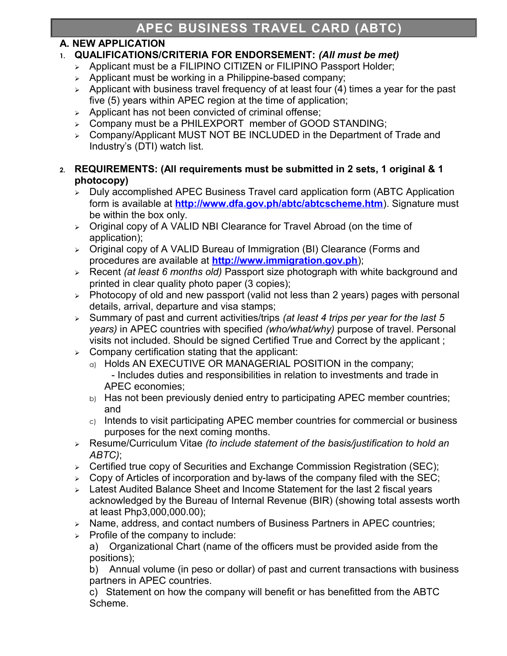# **A. NEW APPLICATION**

# **1. QUALIFICATIONS/CRITERIA FOR ENDORSEMENT:** *(All must be met)*

- > Applicant must be a FILIPINO CITIZEN or FILIPINO Passport Holder;
- $\geq$  Applicant must be working in a Philippine-based company;
- $\geq$  Applicant with business travel frequency of at least four (4) times a year for the past five (5) years within APEC region at the time of application;
- $\triangleright$  Applicant has not been convicted of criminal offense;
- Company must be a PHILEXPORT member of GOOD STANDING;
- Company/Applicant MUST NOT BE INCLUDED in the Department of Trade and Industry's (DTI) watch list.

### **2. REQUIREMENTS: (All requirements must be submitted in 2 sets, 1 original & 1 photocopy)**

- $\triangleright$  Duly accomplished APEC Business Travel card application form (ABTC Application form is available at **<http://www.dfa.gov.ph/abtc/abtcscheme.htm>**). Signature must be within the box only.
- $\geq$  Original copy of A VALID NBI Clearance for Travel Abroad (on the time of application);
- > Original copy of A VALID Bureau of Immigration (BI) Clearance (Forms and procedures are available at **[http://www.immigration.gov.ph](http://www.immigration.gov.ph/)**);
- Recent *(at least 6 months old)* Passport size photograph with white background and printed in clear quality photo paper (3 copies);
- $\triangleright$  Photocopy of old and new passport (valid not less than 2 years) pages with personal details, arrival, departure and visa stamps;
- Summary of past and current activities/trips *(at least 4 trips per year for the last 5 years)* in APEC countries with specified *(who/what/why)* purpose of travel. Personal visits not included. Should be signed Certified True and Correct by the applicant ;
- $\triangleright$  Company certification stating that the applicant:
	- a) Holds AN EXECUTIVE OR MANAGERIAL POSITION in the company; - Includes duties and responsibilities in relation to investments and trade in
		- APEC economies;
	- b) Has not been previously denied entry to participating APEC member countries; and
	- $c)$  Intends to visit participating APEC member countries for commercial or business purposes for the next coming months.
- Resume/Curriculum Vitae *(to include statement of the basis/justification to hold an ABTC)*;
- $\triangleright$  Certified true copy of Securities and Exchange Commission Registration (SEC);
- $\geq$  Copy of Articles of incorporation and by-laws of the company filed with the SEC;
- $\triangleright$  Latest Audited Balance Sheet and Income Statement for the last 2 fiscal vears acknowledged by the Bureau of Internal Revenue (BIR) (showing total assests worth at least Php3,000,000.00);
- $\triangleright$  Name, address, and contact numbers of Business Partners in APEC countries;
- $\triangleright$  Profile of the company to include:

a) Organizational Chart (name of the officers must be provided aside from the positions);

b) Annual volume (in peso or dollar) of past and current transactions with business partners in APEC countries.

c) Statement on how the company will benefit or has benefitted from the ABTC Scheme.